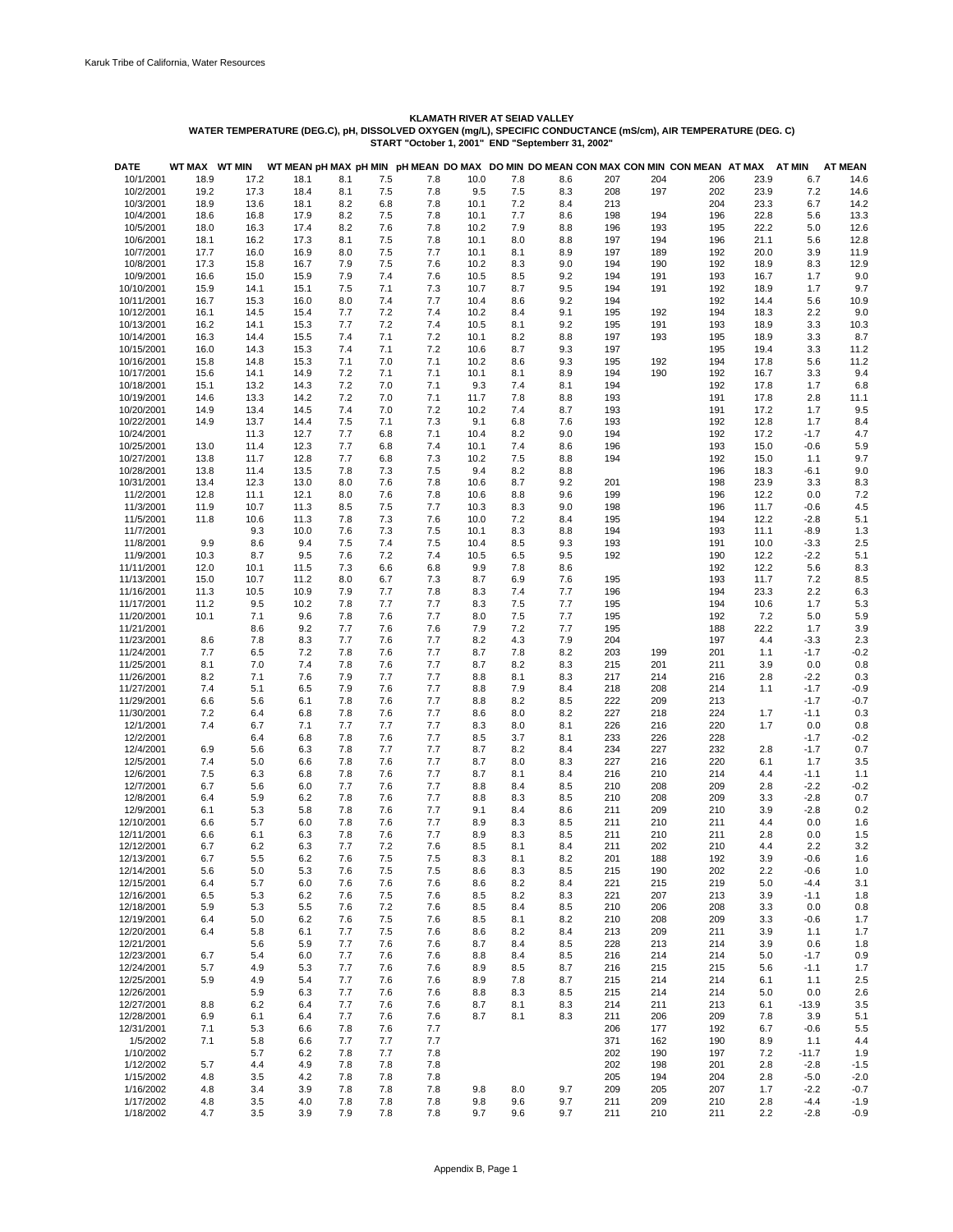| <b>DATE</b>              | WT MAX     | <b>WT MIN</b> |            |            |            |            |            |            |            |            |            | WT MEAN pH MAX pH MIN pH MEAN DO MAX DO MIN DO MEAN CON MAX CON MIN CON MEAN AT MAX |            | AT MIN           | <b>AT MEAN</b> |
|--------------------------|------------|---------------|------------|------------|------------|------------|------------|------------|------------|------------|------------|-------------------------------------------------------------------------------------|------------|------------------|----------------|
| 10/1/2001                | 18.9       | 17.2          | 18.1       | 8.1        | 7.5        | 7.8        | 10.0       | 7.8        | 8.6        | 207        | 204        | 206                                                                                 | 23.9       | 6.7              | 14.6           |
| 10/2/2001                | 19.2       | 17.3          | 18.4       | 8.1        | 7.5        | 7.8        | 9.5        | 7.5        | 8.3        | 208        | 197        | 202                                                                                 | 23.9       | 7.2              | 14.6           |
| 10/3/2001                | 18.9       | 13.6          | 18.1       | 8.2        | 6.8        | 7.8        | 10.1       | 7.2        | 8.4        | 213        |            | 204                                                                                 | 23.3       | 6.7              | 14.2           |
| 10/4/2001                | 18.6       | 16.8          | 17.9       | 8.2        | 7.5        | 7.8        | 10.1       | 7.7        | 8.6        | 198        | 194        | 196                                                                                 | 22.8       | 5.6              | 13.3           |
| 10/5/2001                | 18.0       | 16.3          | 17.4       | 8.2        | 7.6        | 7.8        | 10.2       | 7.9        | 8.8        | 196        | 193        | 195                                                                                 | 22.2       | 5.0              | 12.6           |
| 10/6/2001                | 18.1       | 16.2          | 17.3       | 8.1        | 7.5        | 7.8        | 10.1       | 8.0        | 8.8        | 197        | 194        | 196                                                                                 | 21.1       | 5.6              | 12.8           |
| 10/7/2001                | 17.7       | 16.0          | 16.9       | 8.0        | 7.5        | 7.7        | 10.1       | 8.1        | 8.9        | 197        | 189        | 192                                                                                 | 20.0       | 3.9              | 11.9           |
| 10/8/2001                | 17.3       | 15.8          | 16.7       | 7.9        | 7.5        | 7.6        | 10.2       | 8.3        | 9.0        | 194        | 190        | 192                                                                                 | 18.9       | 8.3              | 12.9           |
| 10/9/2001                | 16.6       | 15.0          | 15.9       | 7.9        | 7.4        | 7.6        | 10.5       | 8.5        | 9.2        | 194        | 191        | 193                                                                                 | 16.7       | 1.7              | 9.0            |
| 10/10/2001               | 15.9       | 14.1          | 15.1       | 7.5        | 7.1        | 7.3        | 10.7       | 8.7        | 9.5        | 194        | 191        | 192                                                                                 | 18.9       | 1.7              | 9.7            |
| 10/11/2001               | 16.7       | 15.3          | 16.0       | 8.0        | 7.4        | 7.7        | 10.4       | 8.6        | 9.2        | 194        |            | 192                                                                                 | 14.4       | 5.6              | 10.9           |
| 10/12/2001               | 16.1       | 14.5          | 15.4       | 7.7        | 7.2        | 7.4        | 10.2       | 8.4        | 9.1        | 195        | 192        | 194                                                                                 | 18.3       | 2.2              | 9.0            |
| 10/13/2001               | 16.2       | 14.1          | 15.3       | 7.7        | 7.2        | 7.4        | 10.5       | 8.1        | 9.2        | 195        | 191        | 193                                                                                 | 18.9       | 3.3              | 10.3           |
| 10/14/2001               | 16.3       | 14.4          | 15.5       | 7.4        | 7.1        | 7.2        | 10.1       | 8.2        | 8.8        | 197        | 193        | 195                                                                                 | 18.9       | 3.3              | 8.7            |
| 10/15/2001               | 16.0       | 14.3          | 15.3       | 7.4        | 7.1        | 7.2        | 10.6       | 8.7        | 9.3        | 197        |            | 195                                                                                 | 19.4       | 3.3              | 11.2           |
| 10/16/2001               | 15.8       | 14.8          | 15.3       | 7.1        | 7.0        | 7.1        | 10.2       | 8.6        | 9.3        | 195        | 192        | 194                                                                                 | 17.8       | 5.6              | 11.2           |
| 10/17/2001               | 15.6       | 14.1          | 14.9       | 7.2        | 7.1        | 7.1        | 10.1       | 8.1        | 8.9        | 194        | 190        | 192                                                                                 | 16.7       | 3.3              | 9.4            |
| 10/18/2001               | 15.1       | 13.2          | 14.3       | 7.2        | 7.0        | 7.1        | 9.3        | 7.4        | 8.1        | 194        |            | 192                                                                                 | 17.8       | 1.7              | 6.8            |
| 10/19/2001               | 14.6       | 13.3          | 14.2       | 7.2        | 7.0        | 7.1        | 11.7       | 7.8        | 8.8        | 193        |            | 191                                                                                 | 17.8       | 2.8              | 11.1           |
| 10/20/2001               | 14.9       | 13.4          | 14.5       | 7.4        | 7.0        | 7.2        | 10.2       | 7.4        | 8.7        | 193        |            | 191                                                                                 | 17.2       | 1.7              | 9.5            |
| 10/22/2001               | 14.9       | 13.7          | 14.4       | 7.5        | 7.1        | 7.3        | 9.1        | 6.8        | 7.6        | 193        |            | 192                                                                                 | 12.8       | 1.7              | 8.4            |
| 10/24/2001               |            | 11.3          | 12.7       | 7.7        | 6.8        | 7.1        | 10.4       | 8.2        | 9.0        | 194        |            | 192                                                                                 | 17.2       | $-1.7$           | 4.7            |
| 10/25/2001               | 13.0       | 11.4          | 12.3       | 7.7        | 6.8        | 7.4        | 10.1       | 7.4        | 8.6        | 196        |            | 193                                                                                 | 15.0       | $-0.6$           | 5.9            |
| 10/27/2001               | 13.8       | 11.7          | 12.8       | 7.7        | 6.8        | 7.3        | 10.2       | 7.5        | 8.8        | 194        |            | 192                                                                                 | 15.0       | 1.1              | 9.7            |
| 10/28/2001               | 13.8       | 11.4          | 13.5       | 7.8        | 7.3        | 7.5        | 9.4        | 8.2        | 8.8        |            |            | 196                                                                                 | 18.3       | $-6.1$           | 9.0            |
| 10/31/2001               | 13.4       | 12.3          | 13.0       | 8.0        | 7.6        | 7.8        | 10.6       | 8.7        | 9.2        | 201        |            | 198                                                                                 | 23.9       | 3.3              | 8.3            |
| 11/2/2001                | 12.8       | 11.1          | 12.1       | 8.0        | 7.6        | 7.8        | 10.6       | 8.8        | 9.6        | 199        |            | 196                                                                                 | 12.2       | 0.0              | 7.2            |
| 11/3/2001                | 11.9       | 10.7          | 11.3       | 8.5        | 7.5        | 7.7        | 10.3       | 8.3        | 9.0        | 198        |            | 196                                                                                 | 11.7       | $-0.6$           | 4.5            |
| 11/5/2001                | 11.8       | 10.6          | 11.3       | 7.8        | 7.3        | 7.6        | 10.0       | 7.2        | 8.4        | 195        |            | 194                                                                                 | 12.2       | $-2.8$           | 5.1            |
| 11/7/2001                |            | 9.3           | 10.0       | 7.6        | 7.3        | 7.5        | 10.1       | 8.3        | 8.8        | 194        |            | 193                                                                                 | 11.1       | $-8.9$           | 1.3            |
| 11/8/2001                | 9.9        | 8.6           | 9.4        | 7.5        | 7.4        | 7.5        | 10.4       | 8.5        | 9.3        | 193        |            | 191                                                                                 | 10.0       | $-3.3$           | 2.5            |
| 11/9/2001                | 10.3       | 8.7           | 9.5        | 7.6        | 7.2        | 7.4        | 10.5       | 6.5        | 9.5        | 192        |            | 190                                                                                 | 12.2       | $-2.2$           | 5.1            |
| 11/11/2001               | 12.0       | 10.1          | 11.5       | 7.3        | 6.6        | 6.8        | 9.9        | 7.8        | 8.6        |            |            | 192                                                                                 | 12.2       | 5.6              | 8.3            |
| 11/13/2001               | 15.0       | 10.7          | 11.2       | 8.0        | 6.7        | 7.3        | 8.7        | 6.9        | 7.6        | 195        |            | 193                                                                                 | 11.7       | 7.2              | 8.5            |
| 11/16/2001               | 11.3       | 10.5          | 10.9       | 7.9        | 7.7        | 7.8        | 8.3        | 7.4        | 7.7        | 196        |            | 194                                                                                 | 23.3       | 2.2              | 6.3            |
| 11/17/2001               | 11.2       | 9.5           | 10.2       | 7.8        | 7.7        | 7.7        | 8.3        | 7.5        | 7.7        | 195        |            | 194                                                                                 | 10.6       | 1.7              | 5.3            |
| 11/20/2001               | 10.1       | 7.1           | 9.6        | 7.8        | 7.6        | 7.7        | 8.0        | 7.5        | 7.7        | 195        |            | 192                                                                                 | 7.2        | 5.0              | 5.9            |
| 11/21/2001               |            | 8.6           | 9.2        | 7.7        | 7.6        | 7.6        | 7.9        | 7.2        | 7.7        | 195        |            | 188                                                                                 | 22.2       | 1.7              | 3.9            |
| 11/23/2001               | 8.6<br>7.7 | 7.8           | 8.3<br>7.2 | 7.7        | 7.6        | 7.7<br>7.7 | 8.2<br>8.7 | 4.3        | 7.9<br>8.2 | 204<br>203 |            | 197<br>201                                                                          | 4.4        | $-3.3$<br>$-1.7$ | 2.3<br>$-0.2$  |
| 11/24/2001               |            | 6.5           |            | 7.8        | 7.6<br>7.6 | 7.7        | 8.7        | 7.8<br>8.2 | 8.3        |            | 199<br>201 |                                                                                     | 1.1<br>3.9 | 0.0              | 0.8            |
| 11/25/2001               | 8.1        | 7.0           | 7.4        | 7.8<br>7.9 | 7.7        |            |            |            |            | 215<br>217 |            | 211                                                                                 |            |                  |                |
| 11/26/2001               | 8.2        | 7.1           | 7.6        |            |            | 7.7        | 8.8        | 8.1        | 8.3        |            | 214        | 216                                                                                 | 2.8        | $-2.2$           | 0.3            |
| 11/27/2001               | 7.4        | 5.1           | 6.5        | 7.9<br>7.8 | 7.6<br>7.6 | 7.7<br>7.7 | 8.8        | 7.9        | 8.4        | 218        | 208        | 214                                                                                 | 1.1        | $-1.7$           | $-0.9$         |
| 11/29/2001               | 6.6<br>7.2 | 5.6<br>6.4    | 6.1<br>6.8 | 7.8        | 7.6        | 7.7        | 8.8<br>8.6 | 8.2<br>8.0 | 8.5<br>8.2 | 222<br>227 | 209<br>218 | 213<br>224                                                                          | 1.7        | $-1.7$<br>$-1.1$ | $-0.7$<br>0.3  |
| 11/30/2001<br>12/1/2001  | 7.4        | 6.7           | 7.1        | 7.7        | 7.7        | 7.7        | 8.3        | 8.0        | 8.1        | 226        | 216        | 220                                                                                 | 1.7        | 0.0              | 0.8            |
| 12/2/2001                |            | 6.4           | 6.8        | 7.8        | 7.6        | 7.7        | 8.5        | 3.7        | 8.1        | 233        | 226        | 228                                                                                 |            | $-1.7$           | $-0.2$         |
| 12/4/2001                | 6.9        | 5.6           | 6.3        | 7.8        | 7.7        | 7.7        | 8.7        | 8.2        | 8.4        | 234        | 227        | 232                                                                                 | 2.8        | $-1.7$           | 0.7            |
|                          | 7.4        |               |            | 7.8        | 7.6        | 7.7        |            |            | 8.3        | 227        |            |                                                                                     |            | 1.7              |                |
| 12/5/2001<br>12/6/2001   | 7.5        | 5.0<br>6.3    | 6.6<br>6.8 | 7.8        | 7.6        | 7.7        | 8.7<br>8.7 | 8.0<br>8.1 | 8.4        | 216        | 216<br>210 | 220<br>214                                                                          | 6.1<br>4.4 | $-1.1$           | 3.5<br>1.1     |
| 12/7/2001                | 6.7        | 5.6           | 6.0        | 7.7        | 7.6        | 7.7        | 8.8        | 8.4        | 8.5        | 210        | 208        | 209                                                                                 | 2.8        | $-2.2$           | $-0.2$         |
| 12/8/2001                | 6.4        | 5.9           | 6.2        | 7.8        | 7.6        | 7.7        | 8.8        | 8.3        | 8.5        | 210        | 208        | 209                                                                                 | 3.3        | $-2.8$           | 0.7            |
| 12/9/2001                | 6.1        | 5.3           | 5.8        | 7.8        | 7.6        | 7.7        | 9.1        | 8.4        | 8.6        | 211        | 209        | 210                                                                                 | 3.9        | $-2.8$           | 0.2            |
| 12/10/2001               | 6.6        | 5.7           | 6.0        | 7.8        | 7.6        | 7.7        | 8.9        | 8.3        | 8.5        | 211        | 210        | 211                                                                                 | 4.4        | 0.0              | 1.6            |
| 12/11/2001               | 6.6        | 6.1           | 6.3        | 7.8        | 7.6        | 7.7        | 8.9        | 8.3        | 8.5        | 211        | 210        | 211                                                                                 | 2.8        | 0.0              | 1.5            |
| 12/12/2001               | 6.7        | 6.2           | 6.3        | 7.7        | 7.2        | 7.6        | 8.5        | 8.1        | 8.4        | 211        | 202        | 210                                                                                 | 4.4        | 2.2              | 3.2            |
|                          |            |               |            |            |            |            |            |            |            |            |            |                                                                                     |            |                  |                |
| 12/13/2001<br>12/14/2001 | 6.7<br>5.6 | 5.5<br>5.0    | 6.2<br>5.3 | 7.6<br>7.6 | 7.5<br>7.5 | 7.5<br>7.5 | 8.3<br>8.6 | 8.1<br>8.3 | 8.2<br>8.5 | 201<br>215 | 188<br>190 | 192<br>202                                                                          | 3.9<br>2.2 | $-0.6$<br>$-0.6$ | 1.6<br>1.0     |
| 12/15/2001               | 6.4        | 5.7           | 6.0        | 7.6        | 7.6        | 7.6        | 8.6        | 8.2        | 8.4        | 221        | 215        | 219                                                                                 | 5.0        | $-4.4$           | 3.1            |
| 12/16/2001               | 6.5        | 5.3           | 6.2        | 7.6        | 7.5        | 7.6        | 8.5        | 8.2        | 8.3        | 221        | 207        | 213                                                                                 | 3.9        | $-1.1$           | 1.8            |
| 12/18/2001               | 5.9        | 5.3           | 5.5        | 7.6        | 7.2        | 7.6        | 8.5        | 8.4        | 8.5        | 210        | 206        | 208                                                                                 | 3.3        | 0.0              | 0.8            |
| 12/19/2001               | 6.4        | 5.0           | 6.2        | 7.6        | 7.5        | 7.6        | 8.5        | 8.1        | 8.2        | 210        | 208        | 209                                                                                 | 3.3        | $-0.6$           | 1.7            |
| 12/20/2001               | 6.4        | 5.8           | 6.1        | 7.7        | 7.5        | 7.6        | 8.6        | 8.2        | 8.4        | 213        | 209        | 211                                                                                 | 3.9        | 1.1              | 1.7            |
| 12/21/2001               |            | 5.6           | 5.9        | 7.7        | 7.6        | 7.6        | 8.7        | 8.4        | 8.5        | 228        | 213        | 214                                                                                 | 3.9        | 0.6              | 1.8            |
| 12/23/2001               | 6.7        | 5.4           | 6.0        | 7.7        | 7.6        | 7.6        | 8.8        | 8.4        | 8.5        | 216        | 214        | 214                                                                                 | 5.0        | $-1.7$           | 0.9            |
| 12/24/2001               | 5.7        | 4.9           | 5.3        | 7.7        | 7.6        | 7.6        | 8.9        | 8.5        | 8.7        | 216        | 215        | 215                                                                                 | 5.6        | $-1.1$           | 1.7            |
| 12/25/2001               | 5.9        | 4.9           | 5.4        | 7.7        | 7.6        | 7.6        | 8.9        | 7.8        | 8.7        | 215        | 214        | 214                                                                                 | 6.1        | 1.1              | 2.5            |
| 12/26/2001               |            | 5.9           | 6.3        | 7.7        | 7.6        | 7.6        | 8.8        | 8.3        | 8.5        | 215        | 214        | 214                                                                                 | 5.0        | 0.0              | 2.6            |
| 12/27/2001               | 8.8        | 6.2           | 6.4        | 7.7        | 7.6        | 7.6        | 8.7        | 8.1        | 8.3        | 214        | 211        | 213                                                                                 | 6.1        | $-13.9$          | 3.5            |
| 12/28/2001               | 6.9        | 6.1           | 6.4        | 7.7        | 7.6        | 7.6        | 8.7        | 8.1        | 8.3        | 211        | 206        | 209                                                                                 | 7.8        | 3.9              | 5.1            |
| 12/31/2001               | 7.1        | 5.3           | 6.6        | 7.8        | 7.6        | 7.7        |            |            |            | 206        | 177        | 192                                                                                 | 6.7        | $-0.6$           | 5.5            |
| 1/5/2002                 | 7.1        | 5.8           | 6.6        | 7.7        | 7.7        | 7.7        |            |            |            | 371        | 162        | 190                                                                                 | 8.9        | 1.1              | 4.4            |
| 1/10/2002                |            | 5.7           | 6.2        | 7.8        | 7.7        | 7.8        |            |            |            | 202        | 190        | 197                                                                                 | 7.2        | $-11.7$          | 1.9            |
| 1/12/2002                | 5.7        | 4.4           | 4.9        | 7.8        | 7.8        | 7.8        |            |            |            | 202        | 198        | 201                                                                                 | 2.8        | $-2.8$           | $-1.5$         |
| 1/15/2002                | 4.8        | 3.5           | 4.2        | 7.8        | 7.8        | 7.8        |            |            |            | 205        | 194        | 204                                                                                 | 2.8        | $-5.0$           | $-2.0$         |
| 1/16/2002                | 4.8        | 3.4           | 3.9        | 7.8        | 7.8        | 7.8        | 9.8        | 8.0        | 9.7        | 209        | 205        | 207                                                                                 | 1.7        | $-2.2$           | $-0.7$         |
| 1/17/2002                | 4.8        | 3.5           | 4.0        | 7.8        | 7.8        | 7.8        | 9.8        | 9.6        | 9.7        | 211        | 209        | 210                                                                                 | 2.8        | $-4.4$           | $-1.9$         |
| 1/18/2002                | 4.7        | 3.5           | 3.9        | 7.9        | 7.8        | 7.8        | 9.7        | 9.6        | 9.7        | 211        | 210        | 211                                                                                 | 2.2        | $-2.8$           | $-0.9$         |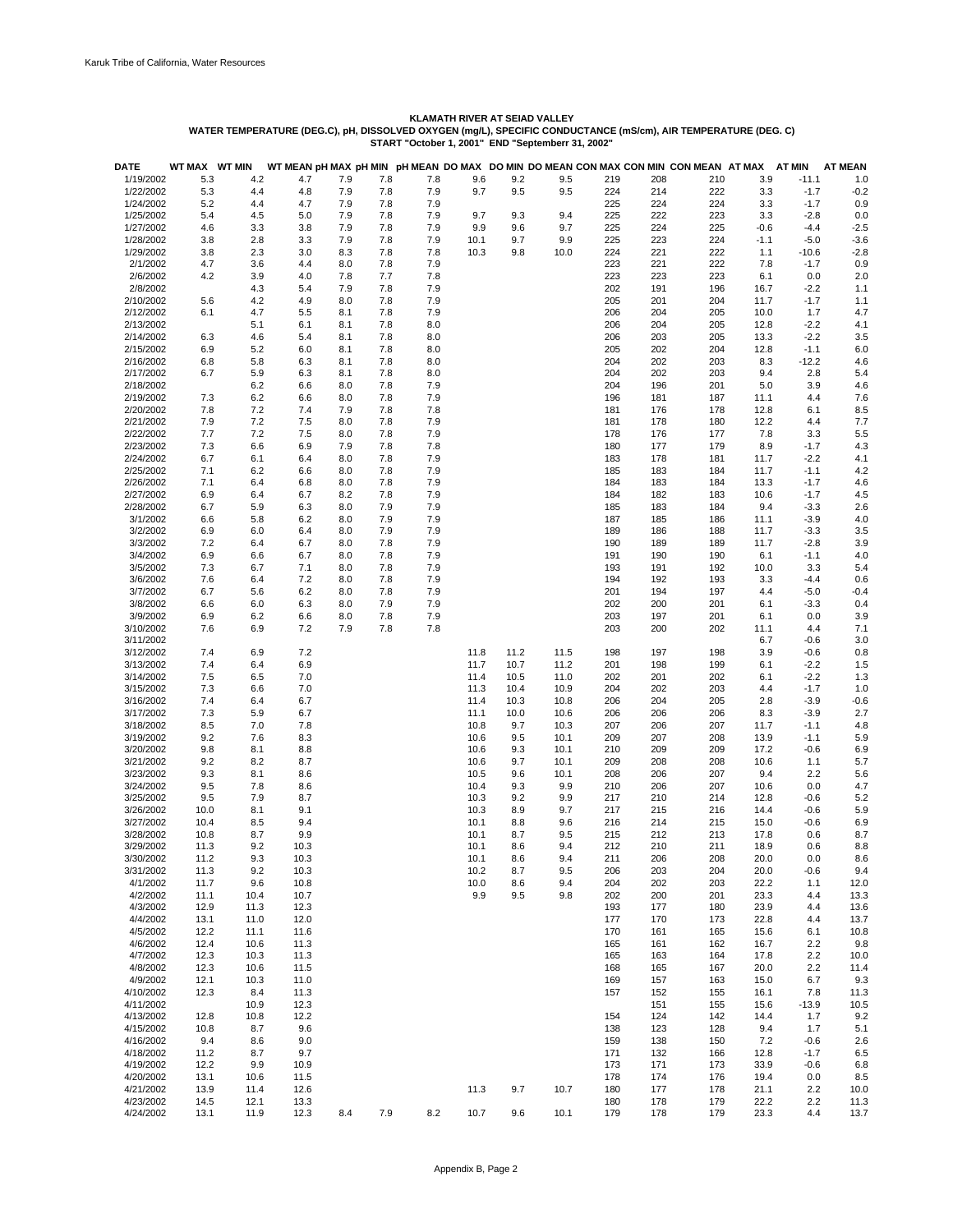| <b>DATE</b>            | WT MAX WT MIN |            |            |            |            |            |      |      |      |            |            | WT MEAN pH MAX pH MIN pH MEAN DO MAX DO MIN DO MEAN CON MAX CON MIN CON MEAN AT MAX |             | AT MIN           | <b>AT MEAN</b> |
|------------------------|---------------|------------|------------|------------|------------|------------|------|------|------|------------|------------|-------------------------------------------------------------------------------------|-------------|------------------|----------------|
| 1/19/2002              | 5.3           | 4.2        | 4.7        | 7.9        | 7.8        | 7.8        | 9.6  | 9.2  | 9.5  | 219        | 208        | 210                                                                                 | 3.9         | $-11.1$          | 1.0            |
| 1/22/2002              | 5.3           | 4.4        | 4.8        | 7.9        | 7.8        | 7.9        | 9.7  | 9.5  | 9.5  | 224        | 214        | 222                                                                                 | 3.3         | $-1.7$           | $-0.2$         |
| 1/24/2002              | 5.2           | 4.4        | 4.7        | 7.9        | 7.8        | 7.9        |      |      |      | 225        | 224        | 224                                                                                 | 3.3         | $-1.7$           | 0.9            |
| 1/25/2002              | 5.4           | 4.5        | 5.0        | 7.9        | 7.8        | 7.9        | 9.7  | 9.3  | 9.4  | 225        | 222        | 223                                                                                 | 3.3         | $-2.8$           | 0.0            |
| 1/27/2002              | 4.6           | 3.3        | 3.8        | 7.9        | 7.8        | 7.9        | 9.9  | 9.6  | 9.7  | 225        | 224        | 225                                                                                 | $-0.6$      | $-4.4$           | $-2.5$         |
| 1/28/2002              | 3.8           | 2.8        | 3.3        | 7.9        | 7.8        | 7.9        | 10.1 | 9.7  | 9.9  | 225        | 223        | 224                                                                                 | $-1.1$      | $-5.0$           | $-3.6$         |
| 1/29/2002              | 3.8           | 2.3        | 3.0        | 8.3        | 7.8        | 7.8        | 10.3 | 9.8  | 10.0 | 224        | 221        | 222                                                                                 | 1.1         | $-10.6$          | $-2.8$         |
| 2/1/2002               | 4.7           |            |            | 8.0        | 7.8        | 7.9        |      |      |      | 223        | 221        | 222                                                                                 |             | $-1.7$           |                |
| 2/6/2002               | 4.2           | 3.6<br>3.9 | 4.4        | 7.8        | 7.7        | 7.8        |      |      |      | 223        | 223        | 223                                                                                 | 7.8         | 0.0              | 0.9            |
| 2/8/2002               |               | 4.3        | 4.0<br>5.4 | 7.9        | 7.8        | 7.9        |      |      |      | 202        | 191        | 196                                                                                 | 6.1<br>16.7 | $-2.2$           | 2.0<br>1.1     |
| 2/10/2002              | 5.6           | 4.2        | 4.9        | 8.0        | 7.8        | 7.9        |      |      |      | 205        | 201        | 204                                                                                 | 11.7        | $-1.7$           | 1.1            |
|                        |               |            |            |            |            |            |      |      |      |            |            |                                                                                     |             |                  |                |
| 2/12/2002              | 6.1           | 4.7        | 5.5        | 8.1        | 7.8        | 7.9        |      |      |      | 206        | 204        | 205                                                                                 | 10.0        | 1.7              | 4.7            |
| 2/13/2002              |               | 5.1        | 6.1        | 8.1        | 7.8        | 8.0        |      |      |      | 206        | 204        | 205                                                                                 | 12.8        | $-2.2$           | 4.1            |
| 2/14/2002<br>2/15/2002 | 6.3<br>6.9    | 4.6        | 5.4        | 8.1        | 7.8<br>7.8 | 8.0<br>8.0 |      |      |      | 206<br>205 | 203<br>202 | 205<br>204                                                                          | 13.3        | $-2.2$<br>$-1.1$ | 3.5            |
| 2/16/2002              |               | 5.2        | 6.0        | 8.1<br>8.1 | 7.8        | 8.0        |      |      |      | 204        | 202        | 203                                                                                 | 12.8<br>8.3 | $-12.2$          | 6.0            |
|                        | 6.8<br>6.7    | 5.8        | 6.3        |            | 7.8        |            |      |      |      | 204        | 202        | 203                                                                                 |             |                  | 4.6<br>5.4     |
| 2/17/2002<br>2/18/2002 |               | 5.9        | 6.3        | 8.1<br>8.0 | 7.8        | 8.0<br>7.9 |      |      |      | 204        |            | 201                                                                                 | 9.4         | 2.8<br>3.9       |                |
|                        |               | 6.2        | 6.6        |            | 7.8        |            |      |      |      |            | 196        |                                                                                     | 5.0         |                  | 4.6            |
| 2/19/2002              | 7.3           | 6.2        | 6.6        | 8.0        |            | 7.9        |      |      |      | 196        | 181        | 187                                                                                 | 11.1        | 4.4              | 7.6            |
| 2/20/2002              | 7.8           | 7.2        | 7.4        | 7.9        | 7.8<br>7.8 | 7.8        |      |      |      | 181        | 176        | 178                                                                                 | 12.8        | 6.1              | 8.5            |
| 2/21/2002              | 7.9           | 7.2        | 7.5        | 8.0        |            | 7.9        |      |      |      | 181        | 178        | 180                                                                                 | 12.2        | 4.4              | 7.7            |
| 2/22/2002              | 7.7           | 7.2        | 7.5        | 8.0        | 7.8        | 7.9        |      |      |      | 178        | 176        | 177                                                                                 | 7.8         | 3.3              | 5.5            |
| 2/23/2002              | 7.3           | 6.6        | 6.9        | 7.9        | 7.8        | 7.8        |      |      |      | 180        | 177        | 179                                                                                 | 8.9         | $-1.7$           | 4.3            |
| 2/24/2002              | 6.7           | 6.1        | 6.4        | 8.0        | 7.8        | 7.9        |      |      |      | 183        | 178        | 181                                                                                 | 11.7        | $-2.2$           | 4.1            |
| 2/25/2002              | 7.1           | 6.2        | 6.6        | 8.0        | 7.8        | 7.9        |      |      |      | 185        | 183        | 184                                                                                 | 11.7        | $-1.1$           | 4.2            |
| 2/26/2002              | 7.1           | 6.4        | 6.8        | 8.0        | 7.8        | 7.9        |      |      |      | 184        | 183        | 184                                                                                 | 13.3        | $-1.7$           | 4.6            |
| 2/27/2002              | 6.9           | 6.4        | 6.7        | 8.2        | 7.8        | 7.9        |      |      |      | 184        | 182        | 183                                                                                 | 10.6        | $-1.7$           | 4.5            |
| 2/28/2002              | 6.7           | 5.9        | 6.3        | 8.0        | 7.9        | 7.9        |      |      |      | 185        | 183        | 184                                                                                 | 9.4         | $-3.3$           | 2.6            |
| 3/1/2002               | 6.6           | 5.8        | 6.2        | 8.0        | 7.9        | 7.9        |      |      |      | 187        | 185        | 186                                                                                 | 11.1        | $-3.9$           | 4.0            |
| 3/2/2002               | 6.9           | 6.0        | 6.4        | 8.0        | 7.9        | 7.9        |      |      |      | 189        | 186        | 188                                                                                 | 11.7        | $-3.3$           | 3.5            |
| 3/3/2002               | 7.2           | 6.4        | 6.7        | 8.0        | 7.8        | 7.9        |      |      |      | 190        | 189        | 189                                                                                 | 11.7        | $-2.8$           | 3.9            |
| 3/4/2002               | 6.9           | 6.6        | 6.7        | 8.0        | 7.8        | 7.9        |      |      |      | 191        | 190        | 190                                                                                 | 6.1         | $-1.1$           | 4.0            |
| 3/5/2002               | 7.3           | 6.7        | 7.1        | 8.0        | 7.8        | 7.9        |      |      |      | 193        | 191        | 192                                                                                 | 10.0        | 3.3              | 5.4            |
| 3/6/2002               | 7.6           | 6.4        | 7.2        | 8.0        | 7.8        | 7.9        |      |      |      | 194        | 192        | 193                                                                                 | 3.3         | $-4.4$           | 0.6            |
| 3/7/2002               | 6.7           | 5.6        | 6.2        | 8.0        | 7.8        | 7.9        |      |      |      | 201        | 194        | 197                                                                                 | 4.4         | $-5.0$           | $-0.4$         |
| 3/8/2002               | 6.6           | 6.0        | 6.3        | 8.0        | 7.9        | 7.9        |      |      |      | 202        | 200        | 201                                                                                 | 6.1         | $-3.3$           | 0.4            |
| 3/9/2002               | 6.9           | 6.2        | 6.6        | 8.0        | 7.8        | 7.9        |      |      |      | 203        | 197        | 201                                                                                 | 6.1         | 0.0              | 3.9            |
| 3/10/2002              | 7.6           | 6.9        | 7.2        | 7.9        | 7.8        | 7.8        |      |      |      | 203        | 200        | 202                                                                                 | 11.1        | 4.4              | 7.1            |
| 3/11/2002              |               |            |            |            |            |            |      |      |      |            |            |                                                                                     | 6.7         | $-0.6$           | 3.0            |
| 3/12/2002              | 7.4           | 6.9        | 7.2        |            |            |            | 11.8 | 11.2 | 11.5 | 198        | 197        | 198                                                                                 | 3.9         | $-0.6$           | 0.8            |
| 3/13/2002              | 7.4           | 6.4        | 6.9        |            |            |            | 11.7 | 10.7 | 11.2 | 201        | 198        | 199                                                                                 | 6.1         | $-2.2$           | 1.5            |
| 3/14/2002              | 7.5           | 6.5        | 7.0        |            |            |            | 11.4 | 10.5 | 11.0 | 202        | 201        | 202                                                                                 | 6.1         | $-2.2$           | 1.3            |
| 3/15/2002              | 7.3           | 6.6        | 7.0        |            |            |            | 11.3 | 10.4 | 10.9 | 204        | 202        | 203                                                                                 | 4.4         | $-1.7$           | 1.0            |
| 3/16/2002              | 7.4           | 6.4        | 6.7        |            |            |            | 11.4 | 10.3 | 10.8 | 206        | 204        | 205                                                                                 | 2.8         | $-3.9$           | $-0.6$         |
| 3/17/2002              | 7.3           | 5.9        | 6.7        |            |            |            | 11.1 | 10.0 | 10.6 | 206        | 206        | 206                                                                                 | 8.3         | $-3.9$           | 2.7            |
| 3/18/2002              | 8.5           | 7.0        | 7.8        |            |            |            | 10.8 | 9.7  | 10.3 | 207        | 206        | 207                                                                                 | 11.7        | $-1.1$           | 4.8            |
| 3/19/2002              | 9.2           | 7.6        | 8.3        |            |            |            | 10.6 | 9.5  | 10.1 | 209        | 207        | 208                                                                                 | 13.9        | $-1.1$           | 5.9            |
| 3/20/2002              | 9.8           | 8.1        | 8.8        |            |            |            | 10.6 | 9.3  | 10.1 | 210        | 209        | 209                                                                                 | 17.2        | $-0.6$           | 6.9            |
| 3/21/2002              | 9.2           | 8.2        | 8.7        |            |            |            | 10.6 | 9.7  | 10.1 | 209        | 208        | 208                                                                                 | 10.6        | 1.1              | 5.7            |
| 3/23/2002              | 9.3           | 8.1        | 8.6        |            |            |            | 10.5 | 9.6  | 10.1 | 208        | 206        | 207                                                                                 | 9.4         | 2.2              | 5.6            |
| 3/24/2002              | 9.5           | 7.8        | 8.6        |            |            |            | 10.4 | 9.3  | 9.9  | 210        | 206        | 207                                                                                 | 10.6        | 0.0              | 4.7            |
| 3/25/2002              | 9.5           | 7.9        | 8.7        |            |            |            | 10.3 | 9.2  | 9.9  | 217        | 210        | 214                                                                                 | 12.8        | $-0.6$           | 5.2            |
| 3/26/2002              | 10.0          | 8.1        | 9.1        |            |            |            | 10.3 | 8.9  | 9.7  | 217        | 215        | 216                                                                                 | 14.4        | $-0.6$           | 5.9            |
| 3/27/2002              | 10.4          | 8.5        | 9.4        |            |            |            | 10.1 | 8.8  | 9.6  | 216        | 214        | 215                                                                                 | 15.0        | $-0.6$           | 6.9            |
| 3/28/2002              | 10.8          | 8.7        | 9.9        |            |            |            | 10.1 | 8.7  | 9.5  | 215        | 212        | 213                                                                                 | 17.8        | 0.6              | 8.7            |
| 3/29/2002              | 11.3          | 9.2        | 10.3       |            |            |            | 10.1 | 8.6  | 9.4  | 212        | 210        | 211                                                                                 | 18.9        | 0.6              | 8.8            |
| 3/30/2002              | 11.2          | 9.3        | 10.3       |            |            |            | 10.1 | 8.6  | 9.4  | 211        | 206        | 208                                                                                 | 20.0        | 0.0              | 8.6            |
| 3/31/2002              | 11.3          | 9.2        | 10.3       |            |            |            | 10.2 | 8.7  | 9.5  | 206        | 203        | 204                                                                                 | 20.0        | $-0.6$           | 9.4            |
| 4/1/2002               | 11.7          | 9.6        | 10.8       |            |            |            | 10.0 | 8.6  | 9.4  | 204        | 202        | 203                                                                                 | 22.2        | 1.1              | 12.0           |
| 4/2/2002               | 11.1          | 10.4       | 10.7       |            |            |            | 9.9  | 9.5  | 9.8  | 202        | 200        | 201                                                                                 | 23.3        | 4.4              | 13.3           |
| 4/3/2002               | 12.9          | 11.3       | 12.3       |            |            |            |      |      |      | 193        | 177        | 180                                                                                 | 23.9        | 4.4              | 13.6           |
| 4/4/2002               | 13.1          | 11.0       | 12.0       |            |            |            |      |      |      | 177        | 170        | 173                                                                                 | 22.8        | 4.4              | 13.7           |
| 4/5/2002               | 12.2          | 11.1       | 11.6       |            |            |            |      |      |      | 170        | 161        | 165                                                                                 | 15.6        | 6.1              | 10.8           |
| 4/6/2002               | 12.4          | 10.6       | 11.3       |            |            |            |      |      |      | 165        | 161        | 162                                                                                 | 16.7        | 2.2              | 9.8            |
| 4/7/2002               | 12.3          | 10.3       | 11.3       |            |            |            |      |      |      | 165        | 163        | 164                                                                                 | 17.8        | 2.2              | 10.0           |
| 4/8/2002               | 12.3          | 10.6       | 11.5       |            |            |            |      |      |      | 168        | 165        | 167                                                                                 | 20.0        | 2.2              | 11.4           |
| 4/9/2002               | 12.1          | 10.3       | 11.0       |            |            |            |      |      |      | 169        | 157        | 163                                                                                 | 15.0        | 6.7              | 9.3            |
| 4/10/2002              | 12.3          | 8.4        | 11.3       |            |            |            |      |      |      | 157        | 152        | 155                                                                                 | 16.1        | 7.8              | 11.3           |
| 4/11/2002              |               | 10.9       | 12.3       |            |            |            |      |      |      |            | 151        | 155                                                                                 | 15.6        | $-13.9$          | 10.5           |
| 4/13/2002              | 12.8          | 10.8       | 12.2       |            |            |            |      |      |      | 154        | 124        | 142                                                                                 | 14.4        | 1.7              | 9.2            |
| 4/15/2002              | 10.8          | 8.7        | 9.6        |            |            |            |      |      |      | 138        | 123        | 128                                                                                 | 9.4         | 1.7              | 5.1            |
| 4/16/2002              | 9.4           | 8.6        | 9.0        |            |            |            |      |      |      | 159        | 138        | 150                                                                                 | 7.2         | $-0.6$           | 2.6            |
| 4/18/2002              | 11.2          | 8.7        | 9.7        |            |            |            |      |      |      | 171        | 132        | 166                                                                                 | 12.8        | $-1.7$           | 6.5            |
| 4/19/2002              | 12.2          | 9.9        | 10.9       |            |            |            |      |      |      | 173        | 171        | 173                                                                                 | 33.9        | $-0.6$           | 6.8            |
| 4/20/2002              | 13.1          | 10.6       | 11.5       |            |            |            |      |      |      | 178        | 174        | 176                                                                                 | 19.4        | 0.0              | 8.5            |
| 4/21/2002              | 13.9          | 11.4       | 12.6       |            |            |            | 11.3 | 9.7  | 10.7 | 180        | 177        | 178                                                                                 | 21.1        | 2.2              | 10.0           |
| 4/23/2002              | 14.5          | 12.1       | 13.3       |            |            |            |      |      |      | 180        | 178        | 179                                                                                 | 22.2        | 2.2              | 11.3           |
| 4/24/2002              | 13.1          | 11.9       | 12.3       | 8.4        | 7.9        | 8.2        | 10.7 | 9.6  | 10.1 | 179        | 178        | 179                                                                                 | 23.3        | 4.4              | 13.7           |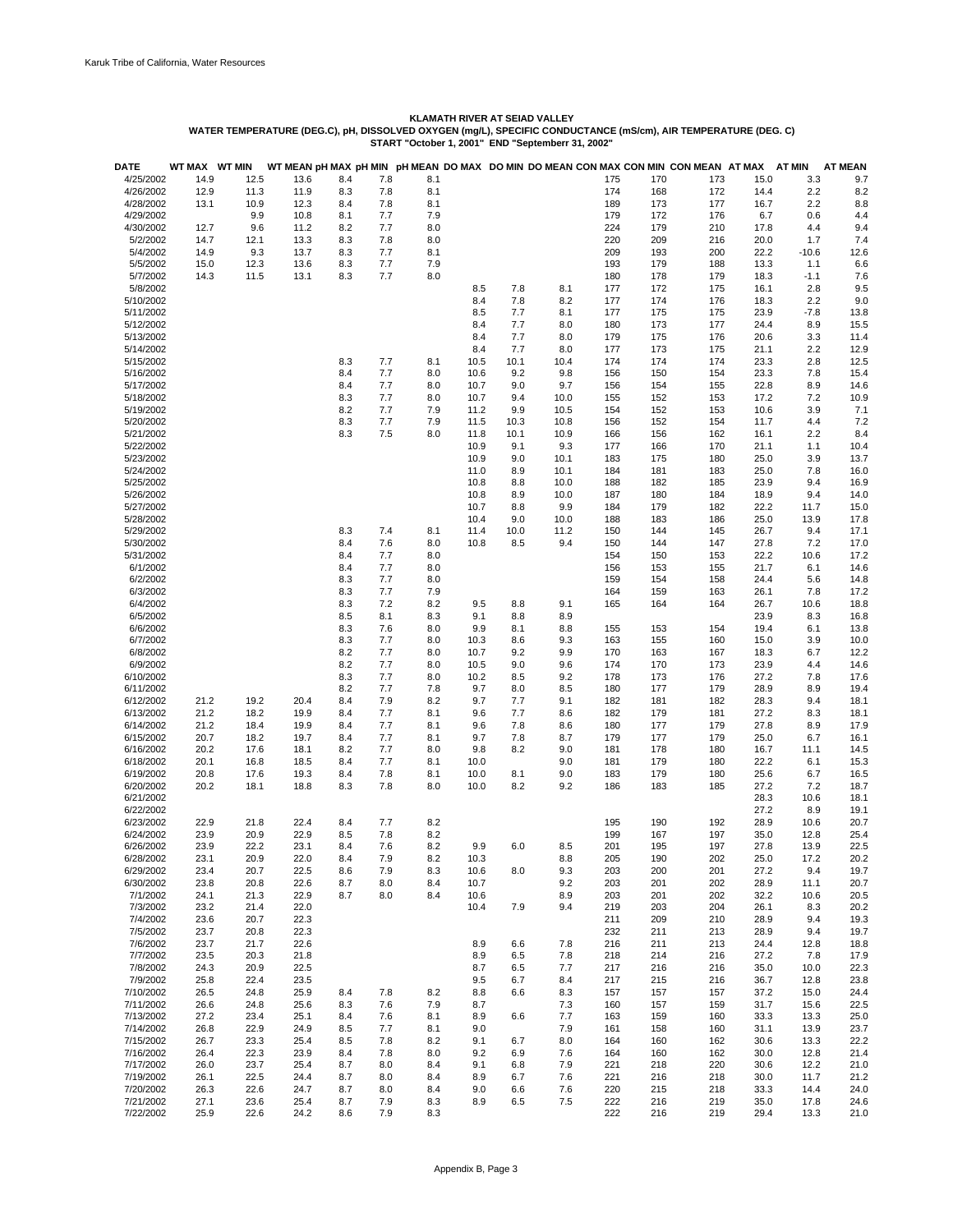| <b>DATE</b>            | WT MAX       | <b>WT MIN</b> |              |            |            |            |              |             |              |            |            | WT MEAN pH MAX pH MIN pH MEAN DO MAX DO MIN DO MEAN CON MAX CON MIN CON MEAN AT MAX |              | <b>AT MIN</b> | <b>AT MEAN</b> |
|------------------------|--------------|---------------|--------------|------------|------------|------------|--------------|-------------|--------------|------------|------------|-------------------------------------------------------------------------------------|--------------|---------------|----------------|
| 4/25/2002              | 14.9         | 12.5          | 13.6         | 8.4        | 7.8        | 8.1        |              |             |              | 175        | 170        | 173                                                                                 | 15.0         | 3.3           | 9.7            |
| 4/26/2002              | 12.9         | 11.3          | 11.9         | 8.3        | 7.8        | 8.1        |              |             |              | 174        | 168        | 172                                                                                 | 14.4         | 2.2           | 8.2            |
| 4/28/2002<br>4/29/2002 | 13.1         | 10.9          | 12.3         | 8.4        | 7.8        | 8.1        |              |             |              | 189        | 173        | 177                                                                                 | 16.7         | 2.2           | 8.8            |
| 4/30/2002              | 12.7         | 9.9<br>9.6    | 10.8<br>11.2 | 8.1<br>8.2 | 7.7<br>7.7 | 7.9<br>8.0 |              |             |              | 179<br>224 | 172<br>179 | 176<br>210                                                                          | 6.7<br>17.8  | 0.6<br>4.4    | 4.4<br>9.4     |
| 5/2/2002               | 14.7         | 12.1          | 13.3         | 8.3        | 7.8        | 8.0        |              |             |              | 220        | 209        | 216                                                                                 | 20.0         | 1.7           | 7.4            |
| 5/4/2002               | 14.9         | 9.3           | 13.7         | 8.3        | 7.7        | 8.1        |              |             |              | 209        | 193        | 200                                                                                 | 22.2         | $-10.6$       | 12.6           |
| 5/5/2002               | 15.0         | 12.3          | 13.6         | 8.3        | 7.7        | 7.9        |              |             |              | 193        | 179        | 188                                                                                 | 13.3         | 1.1           | 6.6            |
| 5/7/2002               | 14.3         | 11.5          | 13.1         | 8.3        | 7.7        | 8.0        |              |             |              | 180        | 178        | 179                                                                                 | 18.3         | $-1.1$        | 7.6            |
| 5/8/2002               |              |               |              |            |            |            | 8.5          | 7.8         | 8.1          | 177        | 172        | 175                                                                                 | 16.1         | 2.8           | 9.5            |
| 5/10/2002              |              |               |              |            |            |            | 8.4          | 7.8         | 8.2          | 177        | 174        | 176                                                                                 | 18.3         | 2.2           | 9.0            |
| 5/11/2002              |              |               |              |            |            |            | 8.5          | 7.7         | 8.1          | 177        | 175        | 175                                                                                 | 23.9         | $-7.8$        | 13.8           |
| 5/12/2002              |              |               |              |            |            |            | 8.4          | 7.7         | 8.0          | 180        | 173        | 177                                                                                 | 24.4         | 8.9           | 15.5           |
| 5/13/2002              |              |               |              |            |            |            | 8.4          | 7.7         | 8.0          | 179        | 175        | 176                                                                                 | 20.6         | 3.3           | 11.4           |
| 5/14/2002              |              |               |              |            |            |            | 8.4          | 7.7         | 8.0          | 177        | 173        | 175                                                                                 | 21.1         | 2.2           | 12.9           |
| 5/15/2002              |              |               |              | 8.3<br>8.4 | 7.7<br>7.7 | 8.1        | 10.5         | 10.1<br>9.2 | 10.4<br>9.8  | 174        | 174<br>150 | 174<br>154                                                                          | 23.3<br>23.3 | 2.8           | 12.5<br>15.4   |
| 5/16/2002<br>5/17/2002 |              |               |              | 8.4        | 7.7        | 8.0<br>8.0 | 10.6<br>10.7 | 9.0         | 9.7          | 156<br>156 | 154        | 155                                                                                 | 22.8         | 7.8<br>8.9    | 14.6           |
| 5/18/2002              |              |               |              | 8.3        | 7.7        | 8.0        | 10.7         | 9.4         | 10.0         | 155        | 152        | 153                                                                                 | 17.2         | 7.2           | 10.9           |
| 5/19/2002              |              |               |              | 8.2        | 7.7        | 7.9        | 11.2         | 9.9         | 10.5         | 154        | 152        | 153                                                                                 | 10.6         | 3.9           | 7.1            |
| 5/20/2002              |              |               |              | 8.3        | 7.7        | 7.9        | 11.5         | 10.3        | 10.8         | 156        | 152        | 154                                                                                 | 11.7         | 4.4           | 7.2            |
| 5/21/2002              |              |               |              | 8.3        | 7.5        | 8.0        | 11.8         | 10.1        | 10.9         | 166        | 156        | 162                                                                                 | 16.1         | 2.2           | 8.4            |
| 5/22/2002              |              |               |              |            |            |            | 10.9         | 9.1         | 9.3          | 177        | 166        | 170                                                                                 | 21.1         | 1.1           | 10.4           |
| 5/23/2002              |              |               |              |            |            |            | 10.9         | 9.0         | 10.1         | 183        | 175        | 180                                                                                 | 25.0         | 3.9           | 13.7           |
| 5/24/2002              |              |               |              |            |            |            | 11.0         | 8.9         | 10.1         | 184        | 181        | 183                                                                                 | 25.0         | 7.8           | 16.0           |
| 5/25/2002              |              |               |              |            |            |            | 10.8         | 8.8         | 10.0         | 188        | 182        | 185                                                                                 | 23.9         | 9.4           | 16.9           |
| 5/26/2002              |              |               |              |            |            |            | 10.8         | 8.9         | 10.0         | 187        | 180        | 184                                                                                 | 18.9         | 9.4           | 14.0           |
| 5/27/2002              |              |               |              |            |            |            | 10.7         | 8.8         | 9.9          | 184        | 179        | 182                                                                                 | 22.2         | 11.7          | 15.0           |
| 5/28/2002<br>5/29/2002 |              |               |              | 8.3        | 7.4        | 8.1        | 10.4<br>11.4 | 9.0<br>10.0 | 10.0<br>11.2 | 188<br>150 | 183<br>144 | 186<br>145                                                                          | 25.0<br>26.7 | 13.9<br>9.4   | 17.8<br>17.1   |
| 5/30/2002              |              |               |              | 8.4        | 7.6        | 8.0        | 10.8         | 8.5         | 9.4          | 150        | 144        | 147                                                                                 | 27.8         | 7.2           | 17.0           |
| 5/31/2002              |              |               |              | 8.4        | 7.7        | 8.0        |              |             |              | 154        | 150        | 153                                                                                 | 22.2         | 10.6          | 17.2           |
| 6/1/2002               |              |               |              | 8.4        | 7.7        | 8.0        |              |             |              | 156        | 153        | 155                                                                                 | 21.7         | 6.1           | 14.6           |
| 6/2/2002               |              |               |              | 8.3        | 7.7        | 8.0        |              |             |              | 159        | 154        | 158                                                                                 | 24.4         | 5.6           | 14.8           |
| 6/3/2002               |              |               |              | 8.3        | 7.7        | 7.9        |              |             |              | 164        | 159        | 163                                                                                 | 26.1         | 7.8           | 17.2           |
| 6/4/2002               |              |               |              | 8.3        | 7.2        | 8.2        | 9.5          | 8.8         | 9.1          | 165        | 164        | 164                                                                                 | 26.7         | 10.6          | 18.8           |
| 6/5/2002               |              |               |              | 8.5        | 8.1        | 8.3        | 9.1          | 8.8         | 8.9          |            |            |                                                                                     | 23.9         | 8.3           | 16.8           |
| 6/6/2002               |              |               |              | 8.3        | 7.6        | 8.0        | 9.9          | 8.1         | 8.8          | 155        | 153        | 154                                                                                 | 19.4         | 6.1           | 13.8           |
| 6/7/2002               |              |               |              | 8.3        | 7.7        | 8.0        | 10.3         | 8.6         | 9.3          | 163        | 155        | 160                                                                                 | 15.0         | 3.9           | 10.0           |
| 6/8/2002               |              |               |              | 8.2        | 7.7        | 8.0        | 10.7         | 9.2         | 9.9          | 170        | 163        | 167                                                                                 | 18.3         | 6.7           | 12.2           |
| 6/9/2002<br>6/10/2002  |              |               |              | 8.2<br>8.3 | 7.7<br>7.7 | 8.0<br>8.0 | 10.5<br>10.2 | 9.0<br>8.5  | 9.6<br>9.2   | 174<br>178 | 170<br>173 | 173<br>176                                                                          | 23.9<br>27.2 | 4.4<br>7.8    | 14.6<br>17.6   |
| 6/11/2002              |              |               |              | 8.2        | 7.7        | 7.8        | 9.7          | 8.0         | 8.5          | 180        | 177        | 179                                                                                 | 28.9         | 8.9           | 19.4           |
| 6/12/2002              | 21.2         | 19.2          | 20.4         | 8.4        | 7.9        | 8.2        | 9.7          | 7.7         | 9.1          | 182        | 181        | 182                                                                                 | 28.3         | 9.4           | 18.1           |
| 6/13/2002              | 21.2         | 18.2          | 19.9         | 8.4        | 7.7        | 8.1        | 9.6          | 7.7         | 8.6          | 182        | 179        | 181                                                                                 | 27.2         | 8.3           | 18.1           |
| 6/14/2002              | 21.2         | 18.4          | 19.9         | 8.4        | 7.7        | 8.1        | 9.6          | 7.8         | 8.6          | 180        | 177        | 179                                                                                 | 27.8         | 8.9           | 17.9           |
| 6/15/2002              | 20.7         | 18.2          | 19.7         | 8.4        | 7.7        | 8.1        | 9.7          | 7.8         | 8.7          | 179        | 177        | 179                                                                                 | 25.0         | 6.7           | 16.1           |
| 6/16/2002              | 20.2         | 17.6          | 18.1         | 8.2        | 7.7        | 8.0        | 9.8          | 8.2         | 9.0          | 181        | 178        | 180                                                                                 | 16.7         | 11.1          | 14.5           |
| 6/18/2002              | 20.1         | 16.8          | 18.5         | 8.4        | 7.7        | 8.1        | 10.0         |             | 9.0          | 181        | 179        | 180                                                                                 | 22.2         | 6.1           | 15.3           |
| 6/19/2002              | 20.8         | 17.6          | 19.3         | 8.4        | 7.8        | 8.1        | 10.0         | 8.1         | 9.0          | 183        | 179        | 180                                                                                 | 25.6         | 6.7           | 16.5           |
| 6/20/2002              | 20.2         | 18.1          | 18.8         | 8.3        | 7.8        | 8.0        | 10.0         | 8.2         | 9.2          | 186        | 183        | 185                                                                                 | 27.2         | 7.2           | 18.7           |
| 6/21/2002              |              |               |              |            |            |            |              |             |              |            |            |                                                                                     | 28.3<br>27.2 | 10.6          | 18.1           |
| 6/22/2002<br>6/23/2002 | 22.9         | 21.8          | 22.4         | 8.4        | 7.7        | 8.2        |              |             |              | 195        | 190        | 192                                                                                 | 28.9         | 8.9<br>10.6   | 19.1<br>20.7   |
| 6/24/2002              | 23.9         | 20.9          | 22.9         | 8.5        | 7.8        | 8.2        |              |             |              | 199        | 167        | 197                                                                                 | 35.0         | 12.8          | 25.4           |
| 6/26/2002              | 23.9         | 22.2          | 23.1         | 8.4        | 7.6        | 8.2        | 9.9          | 6.0         | 8.5          | 201        | 195        | 197                                                                                 | 27.8         | 13.9          | 22.5           |
| 6/28/2002              | 23.1         | 20.9          | 22.0         | 8.4        | 7.9        | 8.2        | 10.3         |             | 8.8          | 205        | 190        | 202                                                                                 | 25.0         | 17.2          | 20.2           |
| 6/29/2002              | 23.4         | 20.7          | 22.5         | 8.6        | 7.9        | 8.3        | 10.6         | 8.0         | 9.3          | 203        | 200        | 201                                                                                 | 27.2         | 9.4           | 19.7           |
| 6/30/2002              | 23.8         | 20.8          | 22.6         | 8.7        | 8.0        | 8.4        | 10.7         |             | 9.2          | 203        | 201        | 202                                                                                 | 28.9         | 11.1          | 20.7           |
| 7/1/2002               | 24.1         | 21.3          | 22.9         | 8.7        | 8.0        | 8.4        | 10.6         |             | 8.9          | 203        | 201        | 202                                                                                 | 32.2         | 10.6          | 20.5           |
| 7/3/2002               | 23.2         | 21.4          | 22.0         |            |            |            | 10.4         | 7.9         | 9.4          | 219        | 203        | 204                                                                                 | 26.1         | 8.3           | 20.2           |
| 7/4/2002               | 23.6         | 20.7          | 22.3         |            |            |            |              |             |              | 211        | 209        | 210                                                                                 | 28.9         | 9.4           | 19.3           |
| 7/5/2002               | 23.7         | 20.8          | 22.3         |            |            |            |              |             |              | 232        | 211        | 213                                                                                 | 28.9         | 9.4           | 19.7           |
| 7/6/2002               | 23.7         | 21.7          | 22.6         |            |            |            | 8.9          | 6.6         | 7.8          | 216        | 211        | 213                                                                                 | 24.4         | 12.8          | 18.8           |
| 7/7/2002<br>7/8/2002   | 23.5<br>24.3 | 20.3<br>20.9  | 21.8<br>22.5 |            |            |            | 8.9<br>8.7   | 6.5<br>6.5  | 7.8<br>7.7   | 218<br>217 | 214<br>216 | 216<br>216                                                                          | 27.2<br>35.0 | 7.8<br>10.0   | 17.9<br>22.3   |
| 7/9/2002               | 25.8         | 22.4          | 23.5         |            |            |            | 9.5          | 6.7         | 8.4          | 217        | 215        | 216                                                                                 | 36.7         | 12.8          | 23.8           |
| 7/10/2002              | 26.5         | 24.8          | 25.9         | 8.4        | 7.8        | 8.2        | 8.8          | 6.6         | 8.3          | 157        | 157        | 157                                                                                 | 37.2         | 15.0          | 24.4           |
| 7/11/2002              | 26.6         | 24.8          | 25.6         | 8.3        | 7.6        | 7.9        | 8.7          |             | 7.3          | 160        | 157        | 159                                                                                 | 31.7         | 15.6          | 22.5           |
| 7/13/2002              | 27.2         | 23.4          | 25.1         | 8.4        | 7.6        | 8.1        | 8.9          | 6.6         | 7.7          | 163        | 159        | 160                                                                                 | 33.3         | 13.3          | 25.0           |
| 7/14/2002              | 26.8         | 22.9          | 24.9         | 8.5        | 7.7        | 8.1        | 9.0          |             | 7.9          | 161        | 158        | 160                                                                                 | 31.1         | 13.9          | 23.7           |
| 7/15/2002              | 26.7         | 23.3          | 25.4         | 8.5        | 7.8        | 8.2        | 9.1          | 6.7         | 8.0          | 164        | 160        | 162                                                                                 | 30.6         | 13.3          | 22.2           |
| 7/16/2002              | 26.4         | 22.3          | 23.9         | 8.4        | 7.8        | 8.0        | 9.2          | 6.9         | 7.6          | 164        | 160        | 162                                                                                 | 30.0         | 12.8          | 21.4           |
| 7/17/2002              | 26.0         | 23.7          | 25.4         | 8.7        | 8.0        | 8.4        | 9.1          | 6.8         | 7.9          | 221        | 218        | 220                                                                                 | 30.6         | 12.2          | 21.0           |
| 7/19/2002              | 26.1         | 22.5          | 24.4         | 8.7        | 8.0        | 8.4        | 8.9          | 6.7         | 7.6          | 221        | 216        | 218                                                                                 | 30.0         | 11.7          | 21.2           |
| 7/20/2002              | 26.3         | 22.6          | 24.7         | 8.7        | 8.0        | 8.4        | 9.0          | 6.6         | 7.6          | 220        | 215        | 218                                                                                 | 33.3         | 14.4          | 24.0           |
| 7/21/2002              | 27.1<br>25.9 | 23.6<br>22.6  | 25.4         | 8.7        | 7.9        | 8.3        | 8.9          | 6.5         | 7.5          | 222<br>222 | 216        | 219                                                                                 | 35.0         | 17.8          | 24.6           |
| 7/22/2002              |              |               | 24.2         | 8.6        | 7.9        | 8.3        |              |             |              |            | 216        | 219                                                                                 | 29.4         | 13.3          | 21.0           |